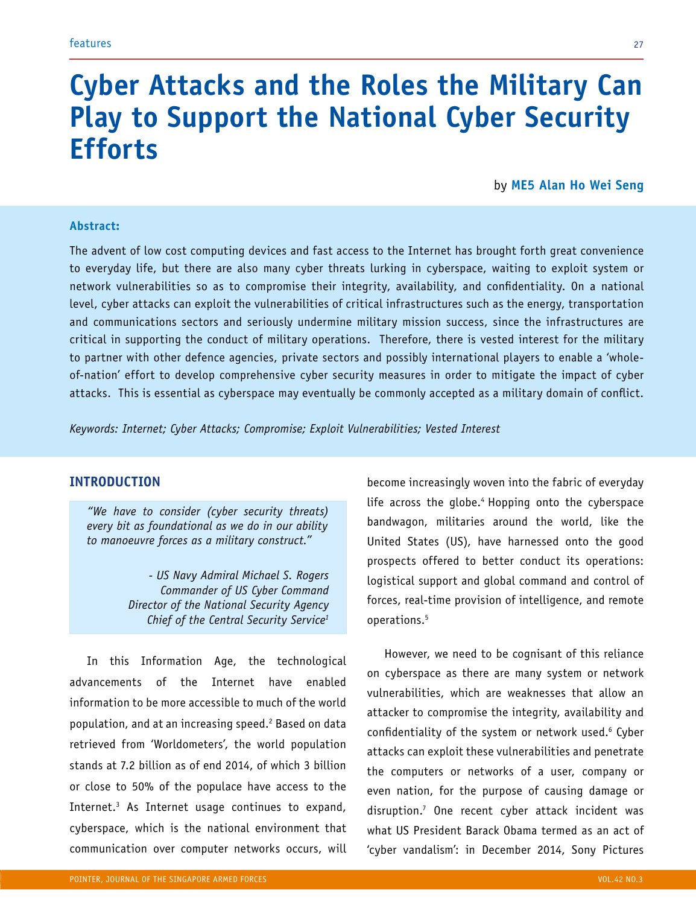# **Cyber Attacks and the Roles the Military Can Play to Support the National Cyber Security Efforts**

by **ME5 Alan Ho Wei Seng**

## **Abstract:**

The advent of low cost computing devices and fast access to the Internet has brought forth great convenience to everyday life, but there are also many cyber threats lurking in cyberspace, waiting to exploit system or network vulnerabilities so as to compromise their integrity, availability, and confidentiality. On a national level, cyber attacks can exploit the vulnerabilities of critical infrastructures such as the energy, transportation and communications sectors and seriously undermine military mission success, since the infrastructures are critical in supporting the conduct of military operations. Therefore, there is vested interest for the military to partner with other defence agencies, private sectors and possibly international players to enable a 'wholeof-nation' effort to develop comprehensive cyber security measures in order to mitigate the impact of cyber attacks. This is essential as cyberspace may eventually be commonly accepted as a military domain of conflict.

*Keywords: Internet; Cyber Attacks; Compromise; Exploit Vulnerabilities; Vested Interest*

# **INTRODUCTION**

*"We have to consider (cyber security threats) every bit as foundational as we do in our ability to manoeuvre forces as a military construct."*

> *- US Navy Admiral Michael S. Rogers Commander of US Cyber Command Director of the National Security Agency Chief of the Central Security Service1*

In this Information Age, the technological advancements of the Internet have enabled information to be more accessible to much of the world population, and at an increasing speed. $^{\rm 2}$  Based on data retrieved from 'Worldometers', the world population stands at 7.2 billion as of end 2014, of which 3 billion or close to 50% of the populace have access to the Internet.3 As Internet usage continues to expand, cyberspace, which is the national environment that communication over computer networks occurs, will

become increasingly woven into the fabric of everyday life across the globe.<sup>4</sup> Hopping onto the cyberspace bandwagon, militaries around the world, like the United States (US), have harnessed onto the good prospects offered to better conduct its operations: logistical support and global command and control of forces, real-time provision of intelligence, and remote operations.5

However, we need to be cognisant of this reliance on cyberspace as there are many system or network vulnerabilities, which are weaknesses that allow an attacker to compromise the integrity, availability and confidentiality of the system or network used.6 Cyber attacks can exploit these vulnerabilities and penetrate the computers or networks of a user, company or even nation, for the purpose of causing damage or disruption.7 One recent cyber attack incident was what US President Barack Obama termed as an act of 'cyber vandalism': in December 2014, Sony Pictures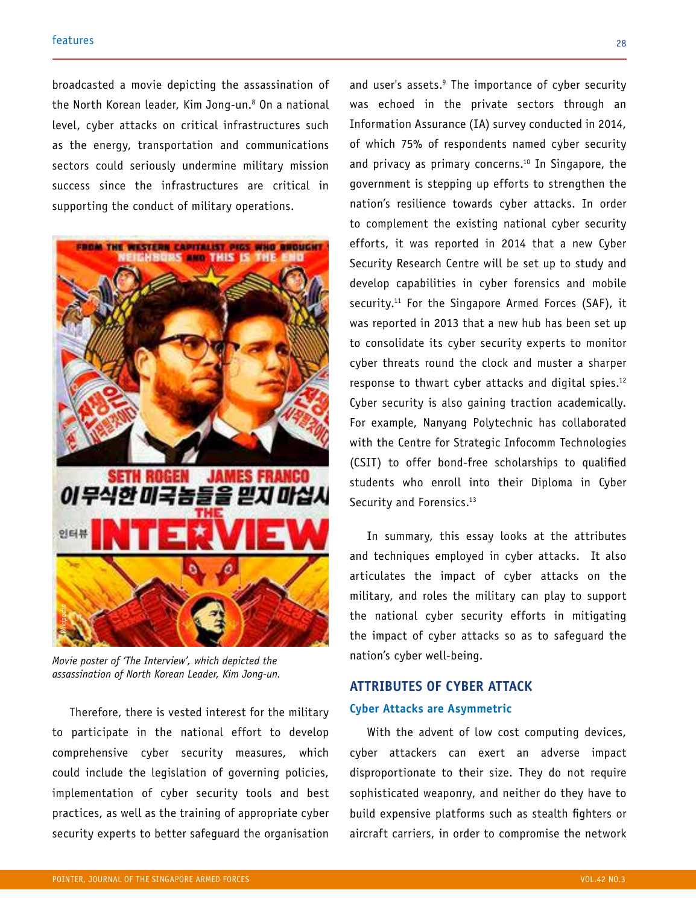broadcasted a movie depicting the assassination of the North Korean leader, Kim Jong-un.8 On a national level, cyber attacks on critical infrastructures such as the energy, transportation and communications sectors could seriously undermine military mission success since the infrastructures are critical in supporting the conduct of military operations.



*Movie poster of 'The Interview', which depicted the* 

Therefore, there is vested interest for the military to participate in the national effort to develop comprehensive cyber security measures, which could include the legislation of governing policies, implementation of cyber security tools and best practices, as well as the training of appropriate cyber security experts to better safeguard the organisation

and user's assets.9 The importance of cyber security was echoed in the private sectors through an Information Assurance (IA) survey conducted in 2014, of which 75% of respondents named cyber security and privacy as primary concerns.<sup>10</sup> In Singapore, the government is stepping up efforts to strengthen the nation's resilience towards cyber attacks. In order to complement the existing national cyber security efforts, it was reported in 2014 that a new Cyber Security Research Centre will be set up to study and develop capabilities in cyber forensics and mobile security.<sup>11</sup> For the Singapore Armed Forces (SAF), it was reported in 2013 that a new hub has been set up to consolidate its cyber security experts to monitor cyber threats round the clock and muster a sharper response to thwart cyber attacks and digital spies.12 Cyber security is also gaining traction academically. For example, Nanyang Polytechnic has collaborated with the Centre for Strategic Infocomm Technologies (CSIT) to offer bond-free scholarships to qualified students who enroll into their Diploma in Cyber Security and Forensics.<sup>13</sup>

In summary, this essay looks at the attributes and techniques employed in cyber attacks. It also articulates the impact of cyber attacks on the military, and roles the military can play to support the national cyber security efforts in mitigating the impact of cyber attacks so as to safeguard the nation's cyber well-being.

# **ATTRIBUTES OF CYBER ATTACK Cyber Attacks are Asymmetric**

With the advent of low cost computing devices, cyber attackers can exert an adverse impact disproportionate to their size. They do not require sophisticated weaponry, and neither do they have to build expensive platforms such as stealth fighters or aircraft carriers, in order to compromise the network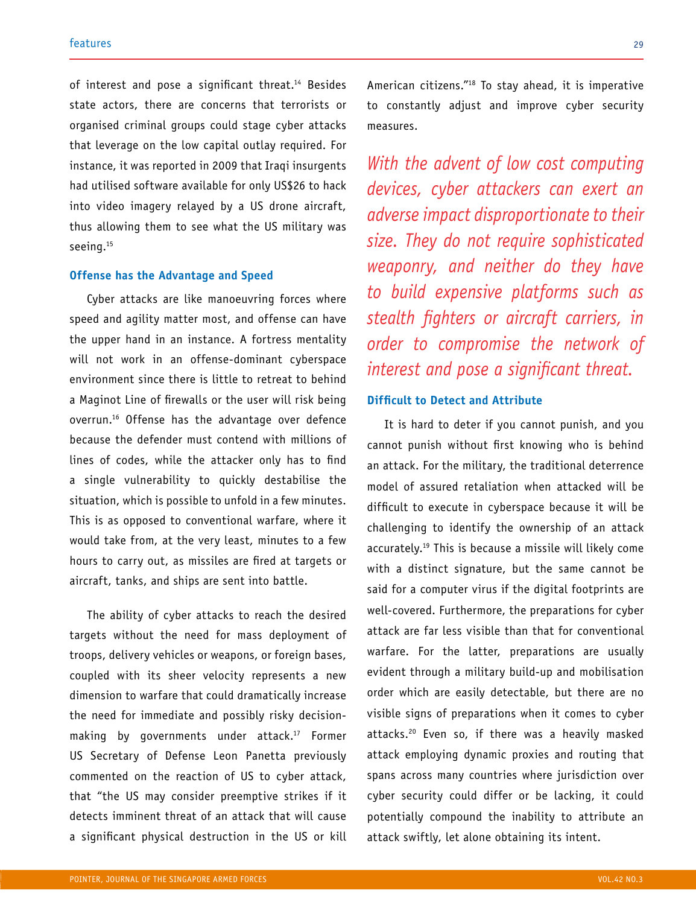of interest and pose a significant threat.<sup>14</sup> Besides state actors, there are concerns that terrorists or organised criminal groups could stage cyber attacks that leverage on the low capital outlay required. For instance, it was reported in 2009 that Iraqi insurgents had utilised software available for only US\$26 to hack into video imagery relayed by a US drone aircraft, thus allowing them to see what the US military was seeing.<sup>15</sup>

#### **Offense has the Advantage and Speed**

Cyber attacks are like manoeuvring forces where speed and agility matter most, and offense can have the upper hand in an instance. A fortress mentality will not work in an offense-dominant cyberspace environment since there is little to retreat to behind a Maginot Line of firewalls or the user will risk being overrun.16 Offense has the advantage over defence because the defender must contend with millions of lines of codes, while the attacker only has to find a single vulnerability to quickly destabilise the situation, which is possible to unfold in a few minutes. This is as opposed to conventional warfare, where it would take from, at the very least, minutes to a few hours to carry out, as missiles are fired at targets or aircraft, tanks, and ships are sent into battle.

The ability of cyber attacks to reach the desired targets without the need for mass deployment of troops, delivery vehicles or weapons, or foreign bases, coupled with its sheer velocity represents a new dimension to warfare that could dramatically increase the need for immediate and possibly risky decisionmaking by governments under attack.<sup>17</sup> Former US Secretary of Defense Leon Panetta previously commented on the reaction of US to cyber attack, that "the US may consider preemptive strikes if it detects imminent threat of an attack that will cause a significant physical destruction in the US or kill American citizens."18 To stay ahead, it is imperative to constantly adjust and improve cyber security measures.

*With the advent of low cost computing devices, cyber attackers can exert an adverse impact disproportionate to their size. They do not require sophisticated weaponry, and neither do they have to build expensive platforms such as stealth fighters or aircraft carriers, in order to compromise the network of interest and pose a significant threat.* 

# **Difficult to Detect and Attribute**

It is hard to deter if you cannot punish, and you cannot punish without first knowing who is behind an attack. For the military, the traditional deterrence model of assured retaliation when attacked will be difficult to execute in cyberspace because it will be challenging to identify the ownership of an attack accurately.19 This is because a missile will likely come with a distinct signature, but the same cannot be said for a computer virus if the digital footprints are well-covered. Furthermore, the preparations for cyber attack are far less visible than that for conventional warfare. For the latter, preparations are usually evident through a military build-up and mobilisation order which are easily detectable, but there are no visible signs of preparations when it comes to cyber attacks.<sup>20</sup> Even so, if there was a heavily masked attack employing dynamic proxies and routing that spans across many countries where jurisdiction over cyber security could differ or be lacking, it could potentially compound the inability to attribute an attack swiftly, let alone obtaining its intent.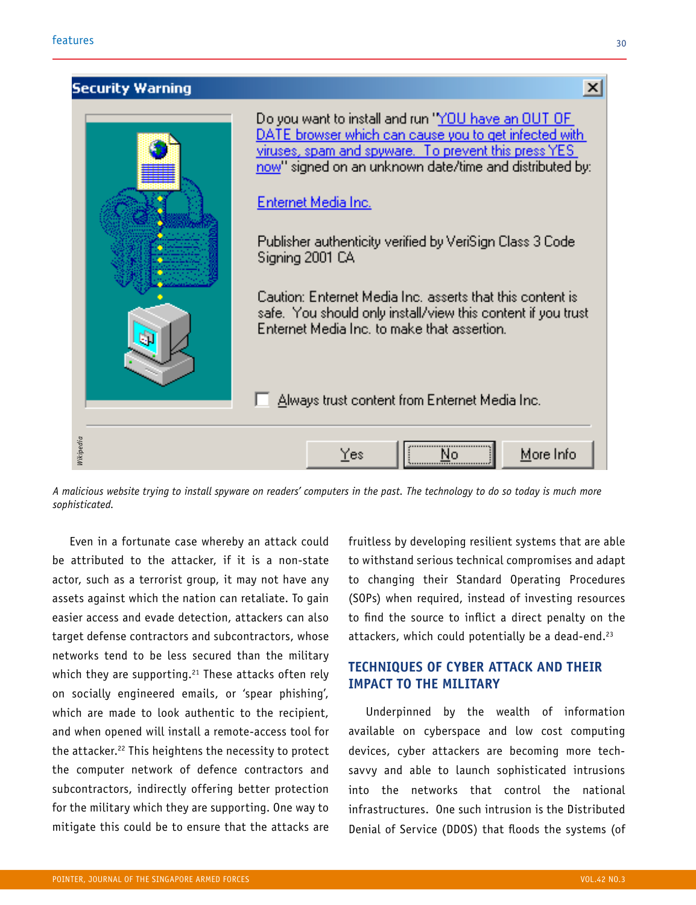

*A malicious website trying to install spyware on readers' computers in the past. The technology to do so today is much more* 

Even in a fortunate case whereby an attack could be attributed to the attacker, if it is a non-state actor, such as a terrorist group, it may not have any assets against which the nation can retaliate. To gain easier access and evade detection, attackers can also target defense contractors and subcontractors, whose networks tend to be less secured than the military which they are supporting.<sup>21</sup> These attacks often rely on socially engineered emails, or 'spear phishing', which are made to look authentic to the recipient, and when opened will install a remote-access tool for the attacker.<sup>22</sup> This heightens the necessity to protect the computer network of defence contractors and subcontractors, indirectly offering better protection for the military which they are supporting. One way to mitigate this could be to ensure that the attacks are

fruitless by developing resilient systems that are able to withstand serious technical compromises and adapt to changing their Standard Operating Procedures (SOPs) when required, instead of investing resources to find the source to inflict a direct penalty on the attackers, which could potentially be a dead-end.<sup>23</sup>

# **TECHNIQUES OF CYBER ATTACK AND THEIR IMPACT TO THE MILITARY**

Underpinned by the wealth of information available on cyberspace and low cost computing devices, cyber attackers are becoming more techsavvy and able to launch sophisticated intrusions into the networks that control the national infrastructures. One such intrusion is the Distributed Denial of Service (DDOS) that floods the systems (of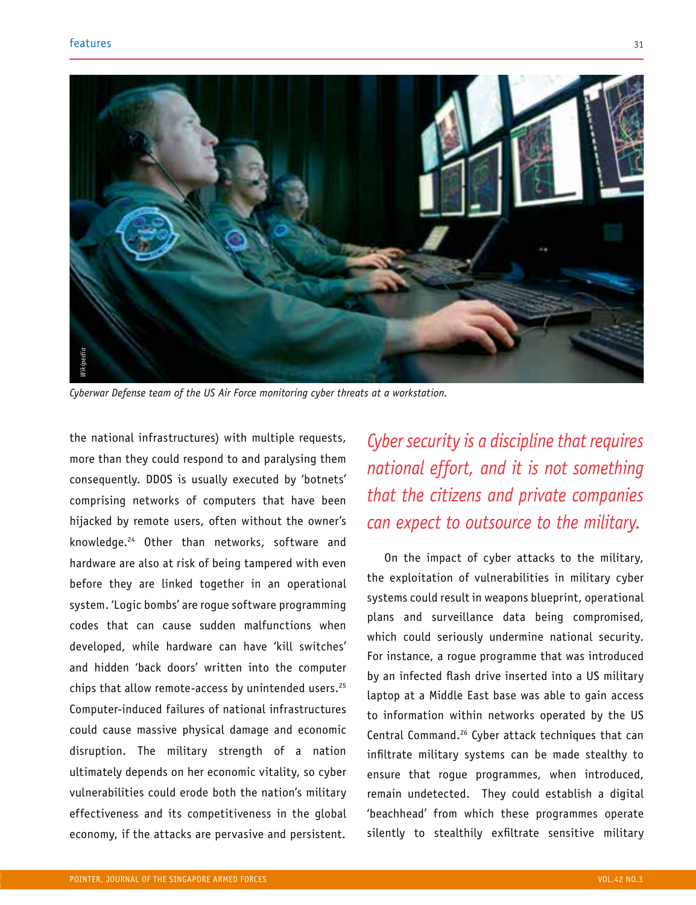

*Cyberwar Defense team of the US Air Force monitoring cyber threats at a workstation.* 

the national infrastructures) with multiple requests, more than they could respond to and paralysing them consequently. DDOS is usually executed by 'botnets' comprising networks of computers that have been hijacked by remote users, often without the owner's knowledge.24 Other than networks, software and hardware are also at risk of being tampered with even before they are linked together in an operational system. 'Logic bombs' are rogue software programming codes that can cause sudden malfunctions when developed, while hardware can have 'kill switches' and hidden 'back doors' written into the computer chips that allow remote-access by unintended users.<sup>25</sup> Computer-induced failures of national infrastructures could cause massive physical damage and economic disruption. The military strength of a nation ultimately depends on her economic vitality, so cyber vulnerabilities could erode both the nation's military effectiveness and its competitiveness in the global economy, if the attacks are pervasive and persistent.

*Cyber security is a discipline that requires national effort, and it is not something that the citizens and private companies can expect to outsource to the military.*

On the impact of cyber attacks to the military, the exploitation of vulnerabilities in military cyber systems could result in weapons blueprint, operational plans and surveillance data being compromised, which could seriously undermine national security. For instance, a rogue programme that was introduced by an infected flash drive inserted into a US military laptop at a Middle East base was able to gain access to information within networks operated by the US Central Command.26 Cyber attack techniques that can infiltrate military systems can be made stealthy to ensure that rogue programmes, when introduced, remain undetected. They could establish a digital 'beachhead' from which these programmes operate silently to stealthily exfiltrate sensitive military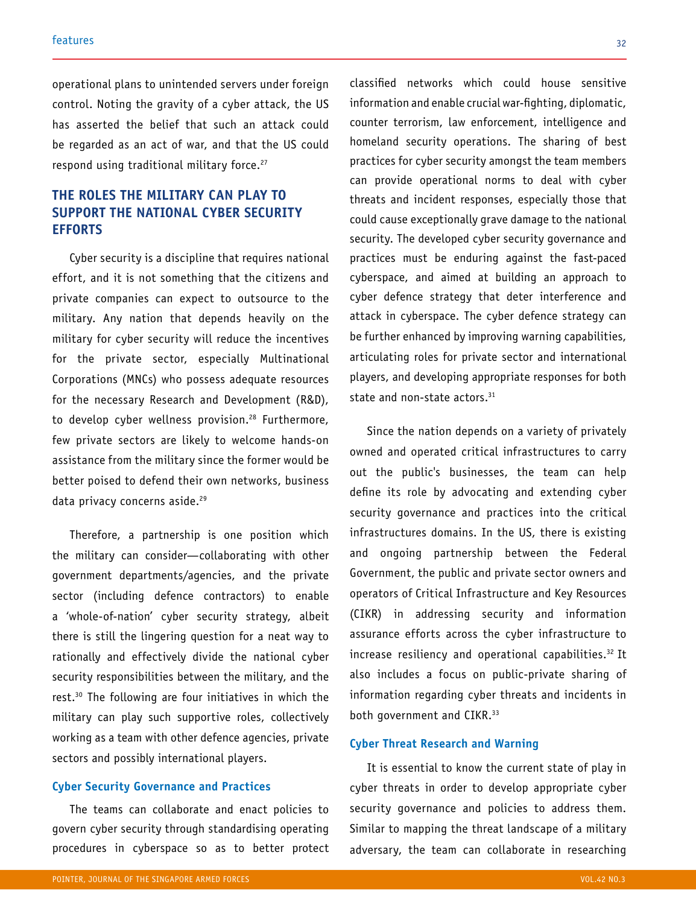operational plans to unintended servers under foreign control. Noting the gravity of a cyber attack, the US has asserted the belief that such an attack could be regarded as an act of war, and that the US could respond using traditional military force.<sup>27</sup>

# **THE ROLES THE MILITARY CAN PLAY TO SUPPORT THE NATIONAL CYBER SECURITY EFFORTS**

Cyber security is a discipline that requires national effort, and it is not something that the citizens and private companies can expect to outsource to the military. Any nation that depends heavily on the military for cyber security will reduce the incentives for the private sector, especially Multinational Corporations (MNCs) who possess adequate resources for the necessary Research and Development (R&D), to develop cyber wellness provision.<sup>28</sup> Furthermore, few private sectors are likely to welcome hands-on assistance from the military since the former would be better poised to defend their own networks, business data privacy concerns aside.<sup>29</sup>

Therefore, a partnership is one position which the military can consider—collaborating with other government departments/agencies, and the private sector (including defence contractors) to enable a 'whole-of-nation' cyber security strategy, albeit there is still the lingering question for a neat way to rationally and effectively divide the national cyber security responsibilities between the military, and the rest.30 The following are four initiatives in which the military can play such supportive roles, collectively working as a team with other defence agencies, private sectors and possibly international players.

#### **Cyber Security Governance and Practices**

The teams can collaborate and enact policies to govern cyber security through standardising operating procedures in cyberspace so as to better protect

classified networks which could house sensitive information and enable crucial war-fighting, diplomatic, counter terrorism, law enforcement, intelligence and homeland security operations. The sharing of best practices for cyber security amongst the team members can provide operational norms to deal with cyber threats and incident responses, especially those that could cause exceptionally grave damage to the national security. The developed cyber security governance and practices must be enduring against the fast-paced cyberspace, and aimed at building an approach to cyber defence strategy that deter interference and attack in cyberspace. The cyber defence strategy can be further enhanced by improving warning capabilities, articulating roles for private sector and international players, and developing appropriate responses for both state and non-state actors.<sup>31</sup>

Since the nation depends on a variety of privately owned and operated critical infrastructures to carry out the public's businesses, the team can help define its role by advocating and extending cyber security governance and practices into the critical infrastructures domains. In the US, there is existing and ongoing partnership between the Federal Government, the public and private sector owners and operators of Critical Infrastructure and Key Resources (CIKR) in addressing security and information assurance efforts across the cyber infrastructure to increase resiliency and operational capabilities.<sup>32</sup> It also includes a focus on public-private sharing of information regarding cyber threats and incidents in both government and CIKR.<sup>33</sup>

# **Cyber Threat Research and Warning**

It is essential to know the current state of play in cyber threats in order to develop appropriate cyber security governance and policies to address them. Similar to mapping the threat landscape of a military adversary, the team can collaborate in researching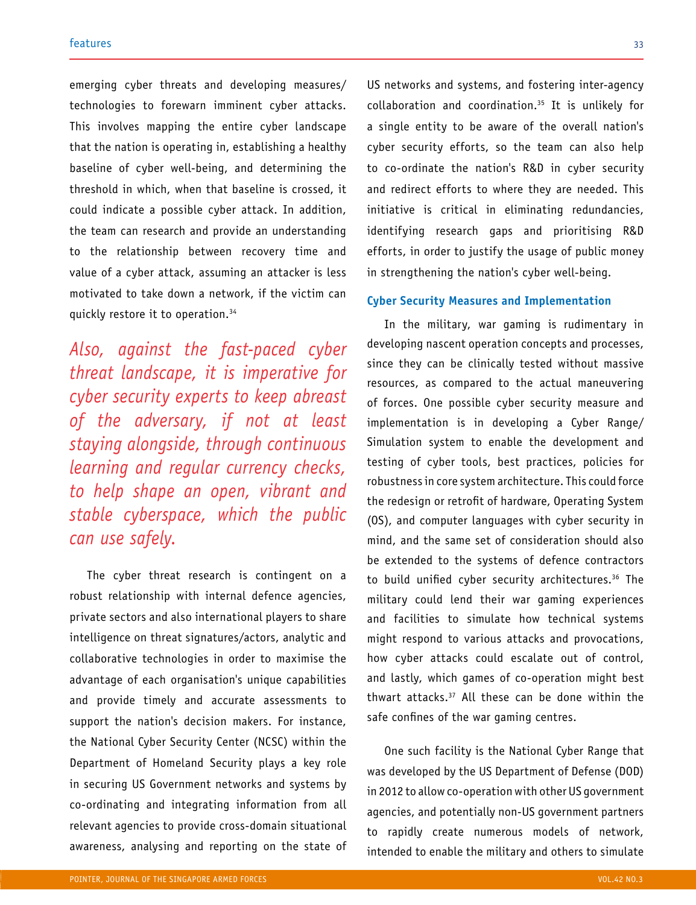emerging cyber threats and developing measures/ technologies to forewarn imminent cyber attacks. This involves mapping the entire cyber landscape that the nation is operating in, establishing a healthy baseline of cyber well-being, and determining the threshold in which, when that baseline is crossed, it could indicate a possible cyber attack. In addition, the team can research and provide an understanding to the relationship between recovery time and value of a cyber attack, assuming an attacker is less motivated to take down a network, if the victim can quickly restore it to operation.34

*Also, against the fast-paced cyber threat landscape, it is imperative for cyber security experts to keep abreast of the adversary, if not at least staying alongside, through continuous learning and regular currency checks, to help shape an open, vibrant and stable cyberspace, which the public can use safely.*

The cyber threat research is contingent on a robust relationship with internal defence agencies, private sectors and also international players to share intelligence on threat signatures/actors, analytic and collaborative technologies in order to maximise the advantage of each organisation's unique capabilities and provide timely and accurate assessments to support the nation's decision makers. For instance, the National Cyber Security Center (NCSC) within the Department of Homeland Security plays a key role in securing US Government networks and systems by co-ordinating and integrating information from all relevant agencies to provide cross-domain situational awareness, analysing and reporting on the state of US networks and systems, and fostering inter-agency collaboration and coordination.35 It is unlikely for a single entity to be aware of the overall nation's cyber security efforts, so the team can also help to co-ordinate the nation's R&D in cyber security and redirect efforts to where they are needed. This initiative is critical in eliminating redundancies, identifying research gaps and prioritising R&D efforts, in order to justify the usage of public money in strengthening the nation's cyber well-being.

## **Cyber Security Measures and Implementation**

In the military, war gaming is rudimentary in developing nascent operation concepts and processes, since they can be clinically tested without massive resources, as compared to the actual maneuvering of forces. One possible cyber security measure and implementation is in developing a Cyber Range/ Simulation system to enable the development and testing of cyber tools, best practices, policies for robustness in core system architecture. This could force the redesign or retrofit of hardware, Operating System (OS), and computer languages with cyber security in mind, and the same set of consideration should also be extended to the systems of defence contractors to build unified cyber security architectures.<sup>36</sup> The military could lend their war gaming experiences and facilities to simulate how technical systems might respond to various attacks and provocations, how cyber attacks could escalate out of control, and lastly, which games of co-operation might best thwart attacks.37 All these can be done within the safe confines of the war gaming centres.

One such facility is the National Cyber Range that was developed by the US Department of Defense (DOD) in 2012 to allow co-operation with other US government agencies, and potentially non-US government partners to rapidly create numerous models of network, intended to enable the military and others to simulate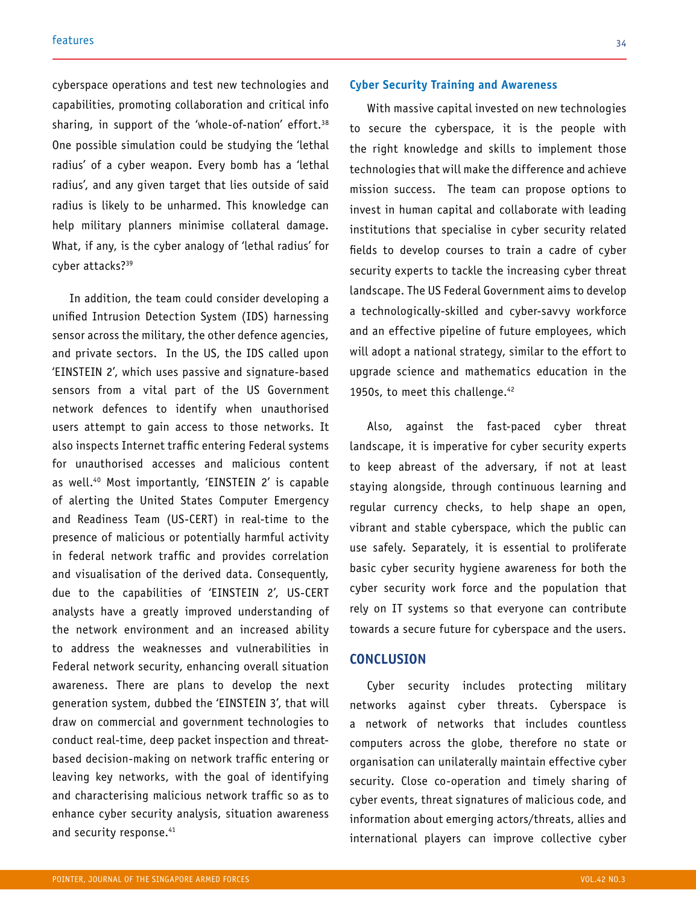cyberspace operations and test new technologies and capabilities, promoting collaboration and critical info sharing, in support of the 'whole-of-nation' effort.<sup>38</sup> One possible simulation could be studying the 'lethal radius' of a cyber weapon. Every bomb has a 'lethal radius', and any given target that lies outside of said radius is likely to be unharmed. This knowledge can help military planners minimise collateral damage. What, if any, is the cyber analogy of 'lethal radius' for cyber attacks?39

In addition, the team could consider developing a unified Intrusion Detection System (IDS) harnessing sensor across the military, the other defence agencies, and private sectors. In the US, the IDS called upon 'EINSTEIN 2', which uses passive and signature-based sensors from a vital part of the US Government network defences to identify when unauthorised users attempt to gain access to those networks. It also inspects Internet traffic entering Federal systems for unauthorised accesses and malicious content as well.40 Most importantly, 'EINSTEIN 2' is capable of alerting the United States Computer Emergency and Readiness Team (US-CERT) in real-time to the presence of malicious or potentially harmful activity in federal network traffic and provides correlation and visualisation of the derived data. Consequently, due to the capabilities of 'EINSTEIN 2', US-CERT analysts have a greatly improved understanding of the network environment and an increased ability to address the weaknesses and vulnerabilities in Federal network security, enhancing overall situation awareness. There are plans to develop the next generation system, dubbed the 'EINSTEIN 3', that will draw on commercial and government technologies to conduct real-time, deep packet inspection and threatbased decision-making on network traffic entering or leaving key networks, with the goal of identifying and characterising malicious network traffic so as to enhance cyber security analysis, situation awareness and security response.<sup>41</sup>

#### **Cyber Security Training and Awareness**

With massive capital invested on new technologies to secure the cyberspace, it is the people with the right knowledge and skills to implement those technologies that will make the difference and achieve mission success. The team can propose options to invest in human capital and collaborate with leading institutions that specialise in cyber security related fields to develop courses to train a cadre of cyber security experts to tackle the increasing cyber threat landscape. The US Federal Government aims to develop a technologically-skilled and cyber-savvy workforce and an effective pipeline of future employees, which will adopt a national strategy, similar to the effort to upgrade science and mathematics education in the 1950s, to meet this challenge.<sup>42</sup>

Also, against the fast-paced cyber threat landscape, it is imperative for cyber security experts to keep abreast of the adversary, if not at least staying alongside, through continuous learning and regular currency checks, to help shape an open, vibrant and stable cyberspace, which the public can use safely. Separately, it is essential to proliferate basic cyber security hygiene awareness for both the cyber security work force and the population that rely on IT systems so that everyone can contribute towards a secure future for cyberspace and the users.

## **CONCLUSION**

Cyber security includes protecting military networks against cyber threats. Cyberspace is a network of networks that includes countless computers across the globe, therefore no state or organisation can unilaterally maintain effective cyber security. Close co-operation and timely sharing of cyber events, threat signatures of malicious code, and information about emerging actors/threats, allies and international players can improve collective cyber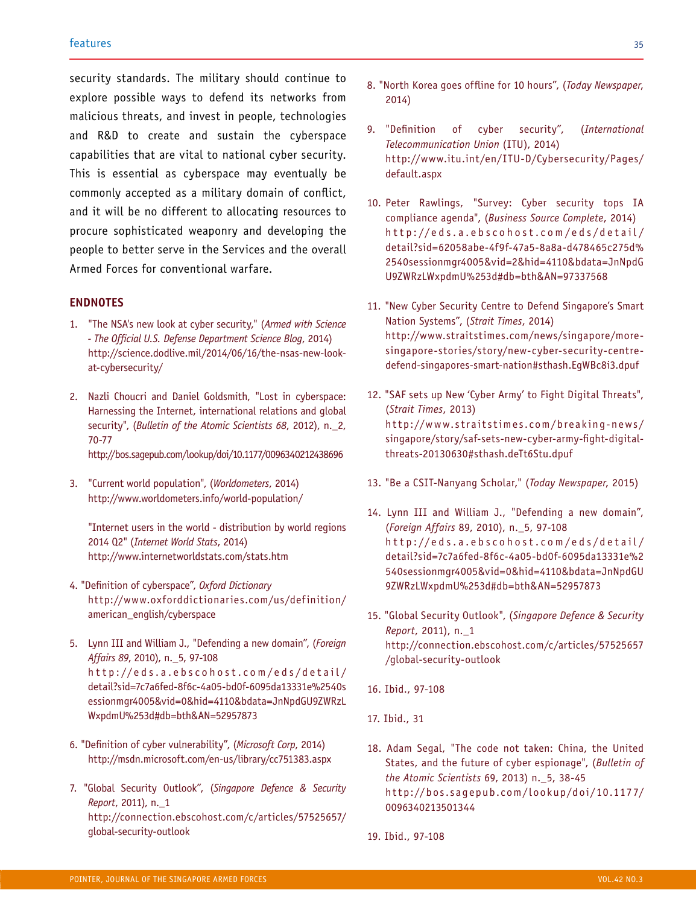security standards. The military should continue to explore possible ways to defend its networks from malicious threats, and invest in people, technologies and R&D to create and sustain the cyberspace capabilities that are vital to national cyber security. This is essential as cyberspace may eventually be commonly accepted as a military domain of conflict, and it will be no different to allocating resources to procure sophisticated weaponry and developing the people to better serve in the Services and the overall Armed Forces for conventional warfare.

## **ENDNOTES**

- 1. "The NSA's new look at cyber security," (*Armed with Science - The Official U.S. Defense Department Science Blog*, 2014) http://science.dodlive.mil/2014/06/16/the-nsas-new-lookat-cybersecurity/
- 2. Nazli Choucri and Daniel Goldsmith, "Lost in cyberspace: Harnessing the Internet, international relations and global security", (*Bulletin of the Atomic Scientists 68*, 2012), n.\_2, 70-77

http://bos.sagepub.com/lookup/doi/10.1177/0096340212438696

3. "Current world population", (*Worldometers*, 2014) http://www.worldometers.info/world-population/

"Internet users in the world - distribution by world regions 2014 Q2" (*Internet World Stats*, 2014) http://www.internetworldstats.com/stats.htm

- 4. "Definition of cyberspace", *Oxford Dictionary* http://www.oxforddictionaries.com/us/definition/ american\_english/cyberspace
- 5. Lynn III and William J., "Defending a new domain", (*Foreign Affairs 89*, 2010), n.\_5, 97-108 http://eds.a.ebscohost.com/eds/detail/ detail?sid=7c7a6fed-8f6c-4a05-bd0f-6095da13331e%2540s essionmgr4005&vid=0&hid=4110&bdata=JnNpdGU9ZWRzL WxpdmU%253d#db=bth&AN=52957873
- 6. "Definition of cyber vulnerability", (*Microsoft Corp*, 2014) http://msdn.microsoft.com/en-us/library/cc751383.aspx
- 7. "Global Security Outlook", (*Singapore Defence & Security Report*, 2011), n.\_1 http://connection.ebscohost.com/c/articles/57525657/ global-security-outlook
- 8. "North Korea goes offline for 10 hours", (*Today Newspaper*, 2014)
- 9. "Definition of cyber security", (*International Telecommunication Union* (ITU), 2014) http://www.itu.int/en/ITU-D/Cybersecurity/Pages/ default.aspx
- 10. Peter Rawlings, "Survey: Cyber security tops IA compliance agenda", (*Business Source Complete*, 2014) http://eds.a.ebscohost.com/eds/detail/ detail?sid=62058abe-4f9f-47a5-8a8a-d478465c275d% 2540sessionmgr4005&vid=2&hid=4110&bdata=JnNpdG U9ZWRzLWxpdmU%253d#db=bth&AN=97337568
- 11. "New Cyber Security Centre to Defend Singapore's Smart Nation Systems", (*Strait Times*, 2014) http://www.straitstimes.com/news/singapore/moresingapore-stories/story/new-cyber-security-centredefend-singapores-smart-nation#sthash.EgWBc8i3.dpuf
- 12. "SAF sets up New 'Cyber Army' to Fight Digital Threats", (*Strait Times*, 2013) http://www.straitstimes.com/breaking-news/ singapore/story/saf-sets-new-cyber-army-fight-digitalthreats-20130630#sthash.deTt6Stu.dpuf
- 13. "Be a CSIT-Nanyang Scholar," (*Today Newspaper*, 2015)
- 14. Lynn III and William J., "Defending a new domain", (*Foreign Affairs* 89, 2010), n.\_5, 97-108 http://eds.a.ebscohost.com/eds/detail/ detail?sid=7c7a6fed-8f6c-4a05-bd0f-6095da13331e%2 540sessionmgr4005&vid=0&hid=4110&bdata=JnNpdGU 9ZWRzLWxpdmU%253d#db=bth&AN=52957873
- 15. "Global Security Outlook", (*Singapore Defence & Security Report*, 2011), n.\_1 http://connection.ebscohost.com/c/articles/57525657 /global-security-outlook
- 16. Ibid., 97-108
- 17. Ibid., 31
- 18. Adam Segal, "The code not taken: China, the United States, and the future of cyber espionage", (*Bulletin of the Atomic Scientists* 69, 2013) n.\_5, 38-45 ht tp://bos.sagepub.com/lookup/doi/10.1177/ 0096340213501344
- 19. Ibid., 97-108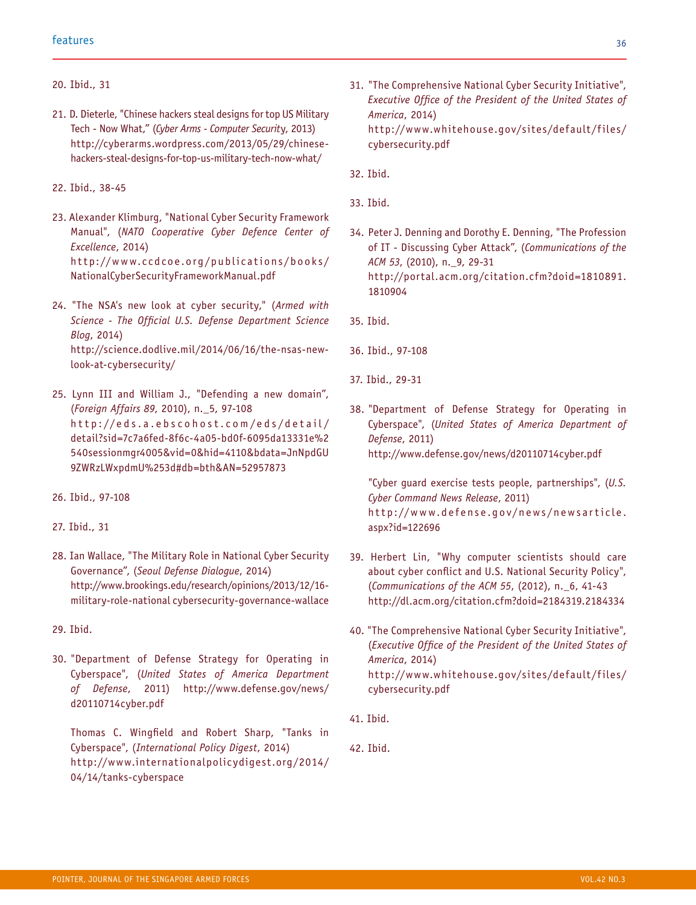#### 20. Ibid., 31

- 21. D. Dieterle, "Chinese hackers steal designs for top US Military Tech - Now What," (*Cyber Arms - Computer Securit*y, 2013) http://cyberarms.wordpress.com/2013/05/29/chinesehackers-steal-designs-for-top-us-military-tech-now-what/
- 22. Ibid., 38-45
- 23. Alexander Klimburg, "National Cyber Security Framework Manual", (*NATO Cooperative Cyber Defence Center of Excellence*, 2014) http://www.ccdcoe.org/publications/books/ NationalCyberSecurityFrameworkManual.pdf
- 24. "The NSA's new look at cyber security," (*Armed with Science - The Official U.S. Defense Department Science Blog*, 2014) http://science.dodlive.mil/2014/06/16/the-nsas-newlook-at-cybersecurity/
- 25. Lynn III and William J., "Defending a new domain", (*Foreign Affairs 89*, 2010), n.\_5, 97-108 http://eds.a.ebscohost.com/eds/detail/ detail?sid=7c7a6fed-8f6c-4a05-bd0f-6095da13331e%2 540sessionmgr4005&vid=0&hid=4110&bdata=JnNpdGU 9ZWRzLWxpdmU%253d#db=bth&AN=52957873
- 26. Ibid., 97-108
- 27. Ibid., 31
- 28. Ian Wallace, "The Military Role in National Cyber Security Governance", (*Seoul Defense Dialogue*, 2014) http://www.brookings.edu/research/opinions/2013/12/16 military-role-national cybersecurity-governance-wallace
- 29. Ibid.
- 30. "Department of Defense Strategy for Operating in Cyberspace", (*United States of America Department of Defense*, 2011) http://www.defense.gov/news/ d20110714cyber.pdf

Thomas C. Wingfield and Robert Sharp, "Tanks in Cyberspace", (*International Policy Digest*, 2014) http://www.internationalpolicydigest.org/2014/ 04/14/tanks-cyberspace

- 31. "The Comprehensive National Cyber Security Initiative", *Executive Office of the President of the United States of America*, 2014) http://www.whitehouse.gov/sites/default/files/ cybersecurity.pdf
- 32. Ibid.
- 33. Ibid.
- 34. Peter J. Denning and Dorothy E. Denning, "The Profession of IT - Discussing Cyber Attack", (*Communications of the ACM 53*, (2010), n.\_9, 29-31 http://portal.acm.org/citation.cfm?doid=1810891. 1810904
- 35. Ibid.
- 36. Ibid., 97-108
- 37. Ibid., 29-31
- 38. "Department of Defense Strategy for Operating in Cyberspace", (*United States of America Department of Defense*, 2011) http://www.defense.gov/news/d20110714cyber.pdf

"Cyber guard exercise tests people, partnerships", (*U.S. Cyber Command News Release*, 2011) http://www.defense.gov/news/newsar ticle. aspx?id=122696

- 39. Herbert Lin, "Why computer scientists should care about cyber conflict and U.S. National Security Policy", (*Communications of the ACM 55*, (2012), n.\_6, 41-43 http://dl.acm.org/citation.cfm?doid=2184319.2184334
- 40. "The Comprehensive National Cyber Security Initiative", (*Executive Office of the President of the United States of America*, 2014) http://www.whitehouse.gov/sites/default/files/ cybersecurity.pdf
- 41. Ibid.

42. Ibid.